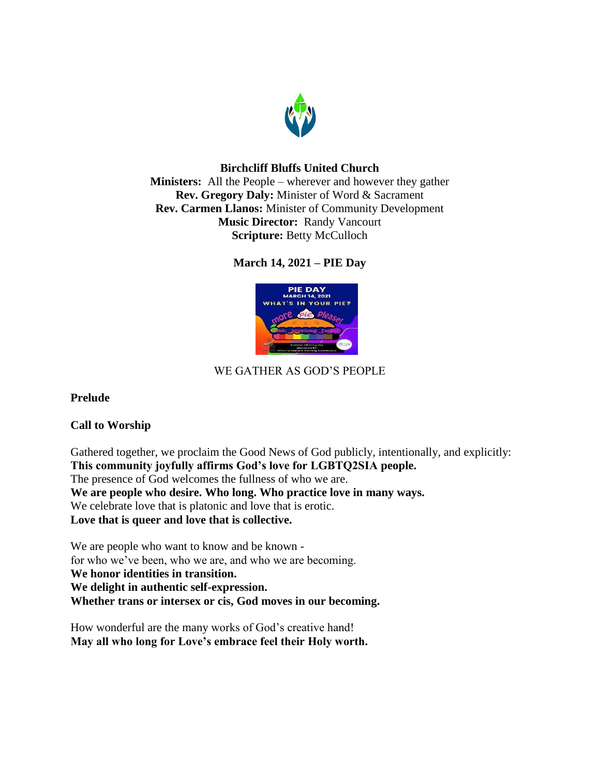

## **Birchcliff Bluffs United Church**

**Ministers:** All the People – wherever and however they gather **Rev. Gregory Daly:** Minister of Word & Sacrament **Rev. Carmen Llanos:** Minister of Community Development **Music Director:** Randy Vancourt **Scripture:** Betty McCulloch

# **March 14, 2021 – PIE Day**



# WE GATHER AS GOD'S PEOPLE

## **Prelude**

## **Call to Worship**

Gathered together, we proclaim the Good News of God publicly, intentionally, and explicitly: **This community joyfully affirms God's love for LGBTQ2SIA people.** The presence of God welcomes the fullness of who we are. **We are people who desire. Who long. Who practice love in many ways.** We celebrate love that is platonic and love that is erotic. **Love that is queer and love that is collective.**

We are people who want to know and be known for who we've been, who we are, and who we are becoming. **We honor identities in transition. We delight in authentic self-expression. Whether trans or intersex or cis, God moves in our becoming.**

How wonderful are the many works of God's creative hand! **May all who long for Love's embrace feel their Holy worth.**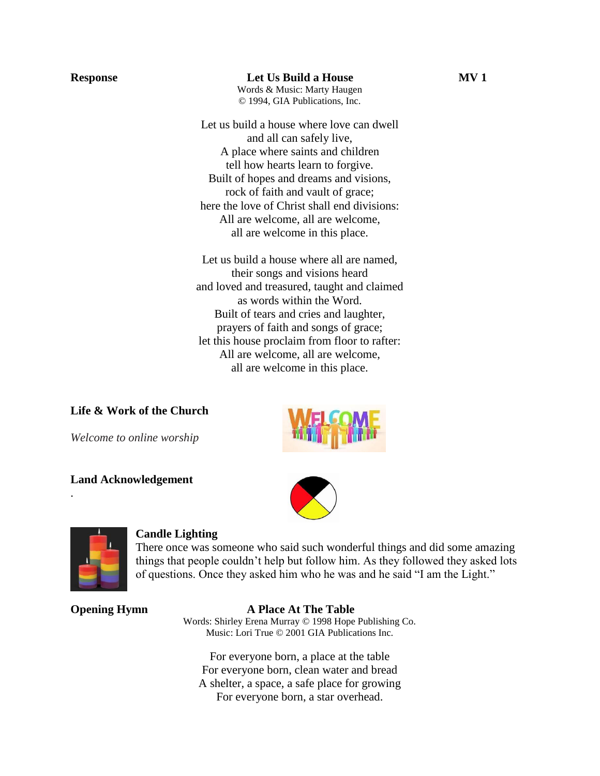**Response Let Us Build a House MV 1** Words & Music: Marty Haugen © 1994, GIA Publications, Inc.

> Let us build a house where love can dwell and all can safely live, A place where saints and children tell how hearts learn to forgive. Built of hopes and dreams and visions, rock of faith and vault of grace; here the love of Christ shall end divisions: All are welcome, all are welcome, all are welcome in this place.

Let us build a house where all are named, their songs and visions heard and loved and treasured, taught and claimed as words within the Word. Built of tears and cries and laughter, prayers of faith and songs of grace; let this house proclaim from floor to rafter: All are welcome, all are welcome, all are welcome in this place.

**Life & Work of the Church** 

*Welcome to online worship*



## **Land Acknowledgement**





.

### **Candle Lighting**

There once was someone who said such wonderful things and did some amazing things that people couldn't help but follow him. As they followed they asked lots of questions. Once they asked him who he was and he said "I am the Light."

#### **Opening Hymn A Place At The Table**

Words: Shirley Erena Murray © 1998 Hope Publishing Co. Music: Lori True © 2001 GIA Publications Inc.

For everyone born, a place at the table For everyone born, clean water and bread A shelter, a space, a safe place for growing For everyone born, a star overhead.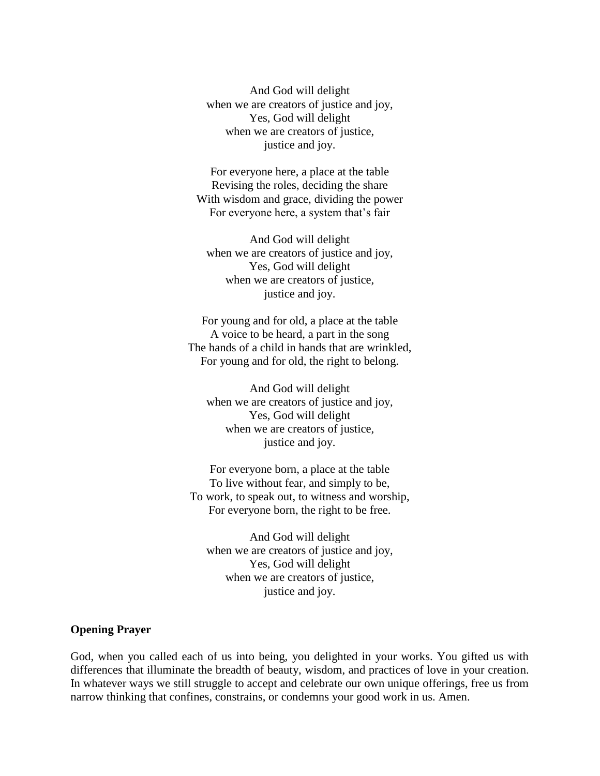And God will delight when we are creators of justice and joy, Yes, God will delight when we are creators of justice, justice and joy.

For everyone here, a place at the table Revising the roles, deciding the share With wisdom and grace, dividing the power For everyone here, a system that's fair

And God will delight when we are creators of justice and joy, Yes, God will delight when we are creators of justice, justice and joy.

For young and for old, a place at the table A voice to be heard, a part in the song The hands of a child in hands that are wrinkled, For young and for old, the right to belong.

And God will delight when we are creators of justice and joy, Yes, God will delight when we are creators of justice, justice and joy.

For everyone born, a place at the table To live without fear, and simply to be, To work, to speak out, to witness and worship, For everyone born, the right to be free.

And God will delight when we are creators of justice and joy, Yes, God will delight when we are creators of justice, justice and joy.

#### **Opening Prayer**

God, when you called each of us into being, you delighted in your works. You gifted us with differences that illuminate the breadth of beauty, wisdom, and practices of love in your creation. In whatever ways we still struggle to accept and celebrate our own unique offerings, free us from narrow thinking that confines, constrains, or condemns your good work in us. Amen.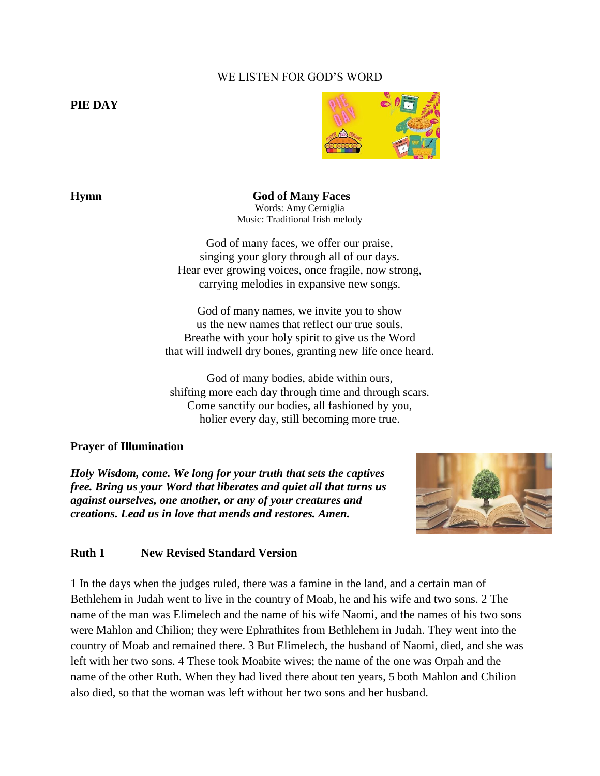## WE LISTEN FOR GOD'S WORD

**PIE DAY**



**Hymn God of Many Faces** Words: Amy Cerniglia Music: Traditional Irish melody

> God of many faces, we offer our praise, singing your glory through all of our days. Hear ever growing voices, once fragile, now strong, carrying melodies in expansive new songs.

God of many names, we invite you to show us the new names that reflect our true souls. Breathe with your holy spirit to give us the Word that will indwell dry bones, granting new life once heard.

God of many bodies, abide within ours, shifting more each day through time and through scars. Come sanctify our bodies, all fashioned by you, holier every day, still becoming more true.

#### **Prayer of Illumination**

*Holy Wisdom, come. We long for your truth that sets the captives free. Bring us your Word that liberates and quiet all that turns us against ourselves, one another, or any of your creatures and creations. Lead us in love that mends and restores. Amen.*



#### **Ruth 1 New Revised Standard Version**

1 In the days when the judges ruled, there was a famine in the land, and a certain man of Bethlehem in Judah went to live in the country of Moab, he and his wife and two sons. 2 The name of the man was Elimelech and the name of his wife Naomi, and the names of his two sons were Mahlon and Chilion; they were Ephrathites from Bethlehem in Judah. They went into the country of Moab and remained there. 3 But Elimelech, the husband of Naomi, died, and she was left with her two sons. 4 These took Moabite wives; the name of the one was Orpah and the name of the other Ruth. When they had lived there about ten years, 5 both Mahlon and Chilion also died, so that the woman was left without her two sons and her husband.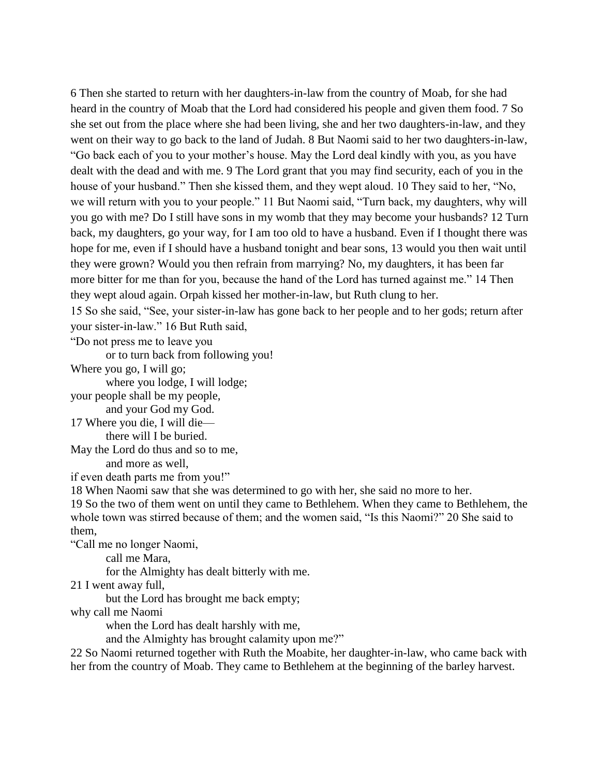6 Then she started to return with her daughters-in-law from the country of Moab, for she had heard in the country of Moab that the Lord had considered his people and given them food. 7 So she set out from the place where she had been living, she and her two daughters-in-law, and they went on their way to go back to the land of Judah. 8 But Naomi said to her two daughters-in-law, "Go back each of you to your mother's house. May the Lord deal kindly with you, as you have dealt with the dead and with me. 9 The Lord grant that you may find security, each of you in the house of your husband." Then she kissed them, and they wept aloud. 10 They said to her, "No, we will return with you to your people." 11 But Naomi said, "Turn back, my daughters, why will you go with me? Do I still have sons in my womb that they may become your husbands? 12 Turn back, my daughters, go your way, for I am too old to have a husband. Even if I thought there was hope for me, even if I should have a husband tonight and bear sons, 13 would you then wait until they were grown? Would you then refrain from marrying? No, my daughters, it has been far more bitter for me than for you, because the hand of the Lord has turned against me." 14 Then they wept aloud again. Orpah kissed her mother-in-law, but Ruth clung to her.

15 So she said, "See, your sister-in-law has gone back to her people and to her gods; return after your sister-in-law." 16 But Ruth said,

"Do not press me to leave you

or to turn back from following you!

Where you go, I will go;

where you lodge, I will lodge;

your people shall be my people,

and your God my God. 17 Where you die, I will die—

there will I be buried.

May the Lord do thus and so to me, and more as well,

if even death parts me from you!"

18 When Naomi saw that she was determined to go with her, she said no more to her.

19 So the two of them went on until they came to Bethlehem. When they came to Bethlehem, the whole town was stirred because of them; and the women said, "Is this Naomi?" 20 She said to them,

"Call me no longer Naomi,

call me Mara,

for the Almighty has dealt bitterly with me.

21 I went away full,

but the Lord has brought me back empty;

why call me Naomi

when the Lord has dealt harshly with me,

and the Almighty has brought calamity upon me?"

22 So Naomi returned together with Ruth the Moabite, her daughter-in-law, who came back with her from the country of Moab. They came to Bethlehem at the beginning of the barley harvest.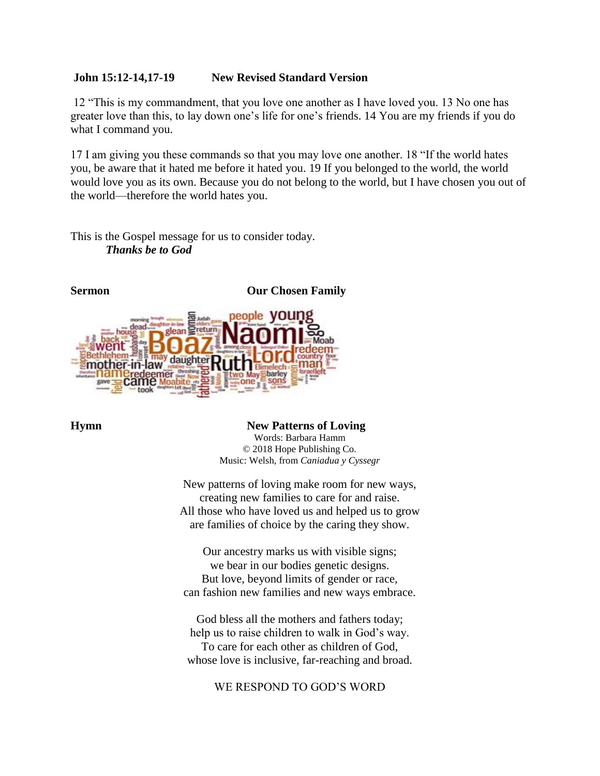### **John 15:12-14,17-19 New Revised Standard Version**

12 "This is my commandment, that you love one another as I have loved you. 13 No one has greater love than this, to lay down one's life for one's friends. 14 You are my friends if you do what I command you.

17 I am giving you these commands so that you may love one another. 18 "If the world hates you, be aware that it hated me before it hated you. 19 If you belonged to the world, the world would love you as its own. Because you do not belong to the world, but I have chosen you out of the world—therefore the world hates you.

This is the Gospel message for us to consider today. *Thanks be to God*



**Hymn** New Patterns of Loving Words: Barbara Hamm © 2018 Hope Publishing Co. Music: Welsh, from *Caniadua y Cyssegr*

> New patterns of loving make room for new ways, creating new families to care for and raise. All those who have loved us and helped us to grow are families of choice by the caring they show.

Our ancestry marks us with visible signs; we bear in our bodies genetic designs. But love, beyond limits of gender or race, can fashion new families and new ways embrace.

God bless all the mothers and fathers today; help us to raise children to walk in God's way. To care for each other as children of God, whose love is inclusive, far-reaching and broad.

WE RESPOND TO GOD'S WORD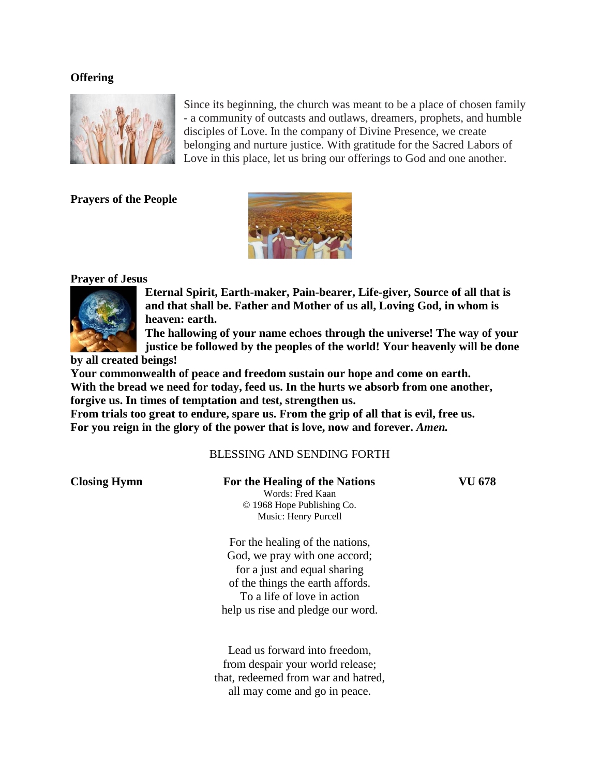#### **Offering**



Since its beginning, the church was meant to be a place of chosen family - a community of outcasts and outlaws, dreamers, prophets, and humble disciples of Love. In the company of Divine Presence, we create belonging and nurture justice. With gratitude for the Sacred Labors of Love in this place, let us bring our offerings to God and one another.

**Prayers of the People**



#### **Prayer of Jesus**



**Eternal Spirit, Earth-maker, Pain-bearer, Life-giver, Source of all that is and that shall be. Father and Mother of us all, Loving God, in whom is heaven: earth.** 

**The hallowing of your name echoes through the universe! The way of your justice be followed by the peoples of the world! Your heavenly will be done** 

**by all created beings!**

**Your commonwealth of peace and freedom sustain our hope and come on earth. With the bread we need for today, feed us. In the hurts we absorb from one another, forgive us. In times of temptation and test, strengthen us.**

**From trials too great to endure, spare us. From the grip of all that is evil, free us. For you reign in the glory of the power that is love, now and forever.** *Amen.*

## BLESSING AND SENDING FORTH

| <b>Closing Hymn</b> | For the Healing of the Nations      | VU 678 |
|---------------------|-------------------------------------|--------|
|                     | Words: Fred Kaan                    |        |
|                     | © 1968 Hope Publishing Co.          |        |
|                     | Music: Henry Purcell                |        |
|                     | For the healing of the nations,     |        |
|                     | God, we pray with one accord;       |        |
|                     | for a just and equal sharing        |        |
|                     | of the things the earth affords.    |        |
|                     | To a life of love in action         |        |
|                     | help us rise and pledge our word.   |        |
|                     |                                     |        |
|                     | Lead us forward into freedom,       |        |
|                     | from despair your world release;    |        |
|                     | that, redeemed from war and hatred, |        |
|                     | all may come and go in peace.       |        |